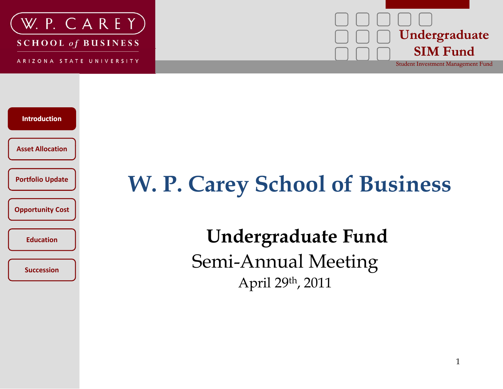

ARIZONA STATE UNIVERSITY





## **Update 1 A. W. P. Carey School of Business**

 **Undergraduate Fund** Semi-Annual Meeting April 29th, 2011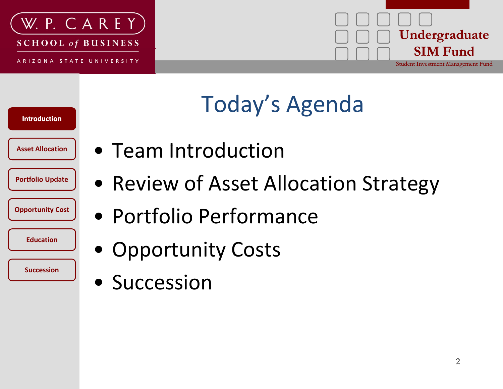



# Today's Agenda

**Asset Allocation**

**Introduction**

**Portfolio Update**

**Opportunity Cost**

**Education**

- Team Introduction
- Review of Asset Allocation Strategy
- Portfolio Performance
- Opportunity Costs
- Succession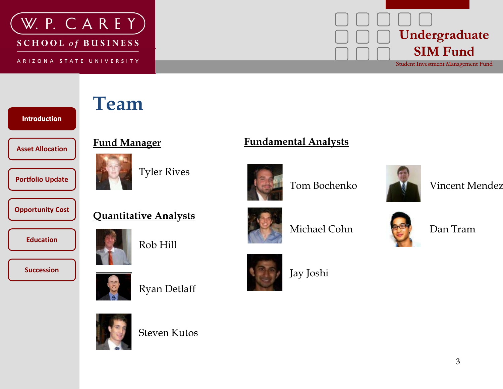

ARIZONA STATE UNIVERSITY



**IntroductionAsset AllocationFund Manager** 

**Portfolio Update**

**Opportunity Cost**

**Education**

**Succession**



Tyler Rives

#### **Fund Manager Fundamental Analysts y**



Tom Bochenko



Vincent Mendez



Rob Hill

**Quantitative Analysts**



Michael Cohn



Dan Tram

Ryan Detlaff

Steven Kutos





Jay Joshi



3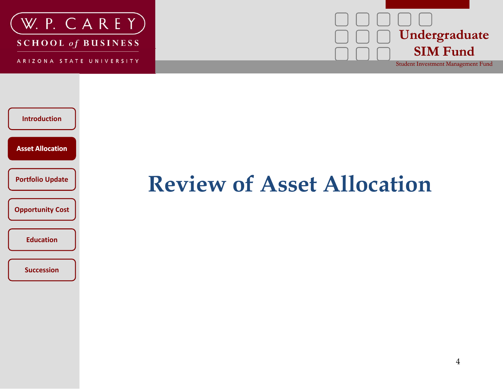

ARIZONA STATE UNIVERSITY





#### **Review of Asset Allocation**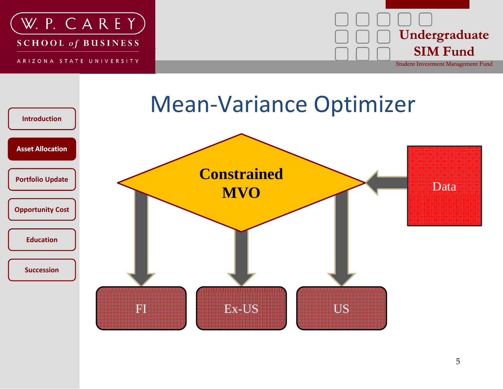



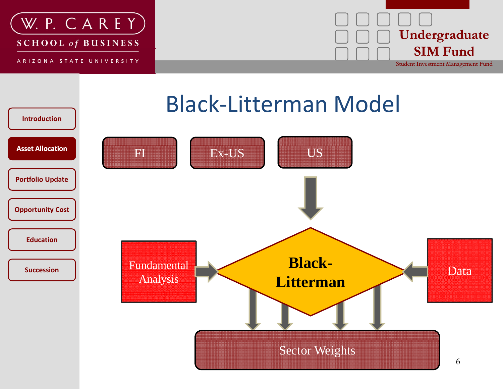



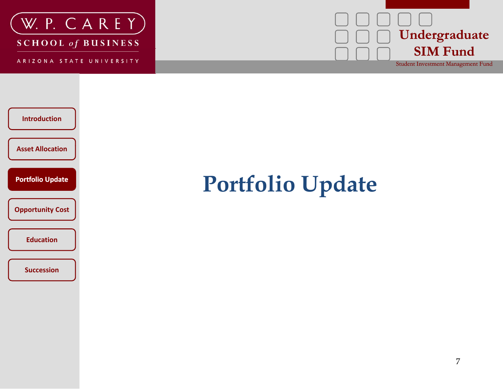

ARIZONA STATE UNIVERSITY





#### **Portfolio Update**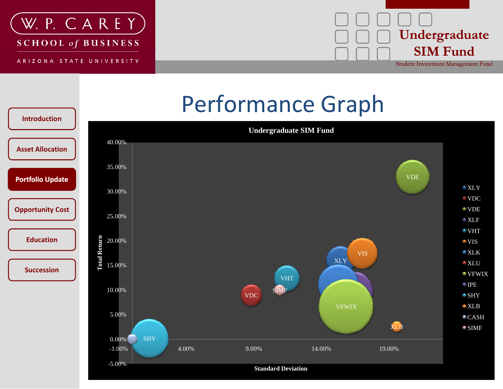





#### **Standard Deviation**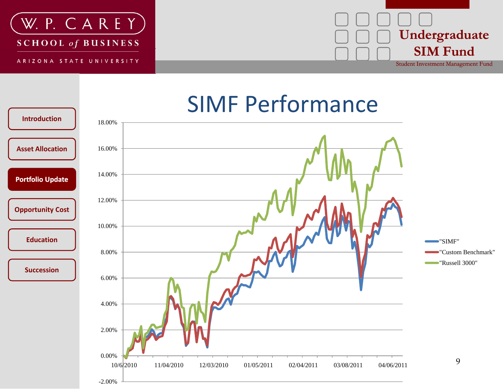

-2.00%





#### **SIMF Performance**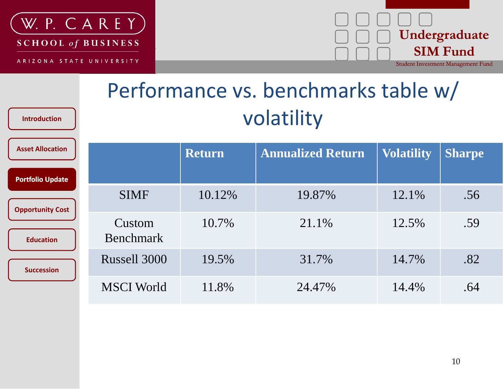

**Introduction**

#### **Undergraduate SIM F d Fund** Student Investment Management Fund

Performance vs. benchmarks table w/ volatility

| <b>Asset Allocation</b> |                            | <b>Return</b> | <b>Annualized Return</b> | <b>Volatility</b> | <b>Sharpe</b> |
|-------------------------|----------------------------|---------------|--------------------------|-------------------|---------------|
| <b>Portfolio Update</b> |                            |               |                          |                   |               |
| <b>Opportunity Cost</b> | <b>SIMF</b>                | 10.12%        | 19.87%                   | 12.1%             | .56           |
| <b>Education</b>        | Custom<br><b>Benchmark</b> | 10.7%         | 21.1%                    | 12.5%             | .59           |
| <b>Succession</b>       | Russell 3000               | 19.5%         | 31.7%                    | 14.7%             | .82           |
|                         | <b>MSCI</b> World          | 11.8%         | 24.47%                   | 14.4%             | .64           |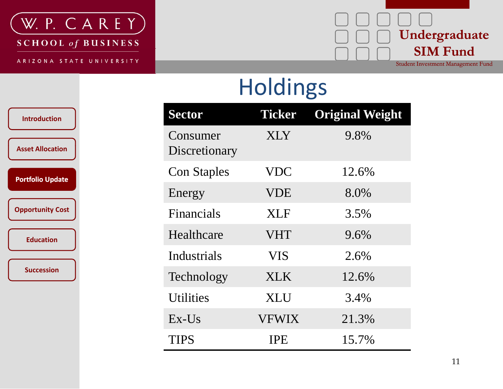

ARIZONA STATE UNIVERSITY

#### **Undergraduate SIM F d Fund** Student Investment Management Fund

Holdings

| n.   | <b>Sector</b>             | <b>Ticker</b> | <b>Original Weight</b> |
|------|---------------------------|---------------|------------------------|
| ion  | Consumer<br>Discretionary | <b>XLY</b>    | 9.8%                   |
| ate  | <b>Con Staples</b>        | <b>VDC</b>    | 12.6%                  |
|      | Energy                    | <b>VDE</b>    | 8.0%                   |
| Cost | <b>Financials</b>         | XLF           | 3.5%                   |
|      | Healthcare                | <b>VHT</b>    | 9.6%                   |
|      | Industrials               | <b>VIS</b>    | 2.6%                   |
|      | Technology                | <b>XLK</b>    | 12.6%                  |
|      | <b>Utilities</b>          | <b>XLU</b>    | 3.4%                   |
|      | $Ex$ -Us                  | <b>VFWIX</b>  | 21.3%                  |
|      | <b>TIPS</b>               | <b>IPE</b>    | 15.7%                  |

**Introduction**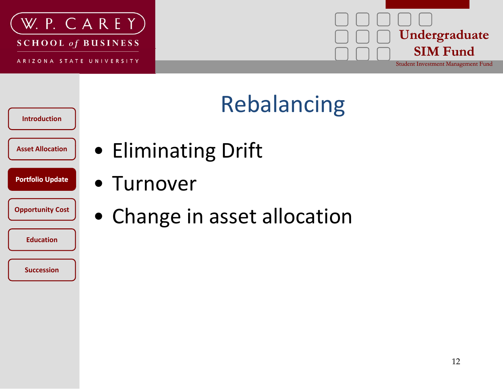



# Rebalancing

**Introduction**

**Portfolio Update**

**Education**

- **Asset Allocation** Eliminating Drift
- Portfolio Update<br> **accounting Cost**<br> **Containery Cost** 
	- Change in asset allocation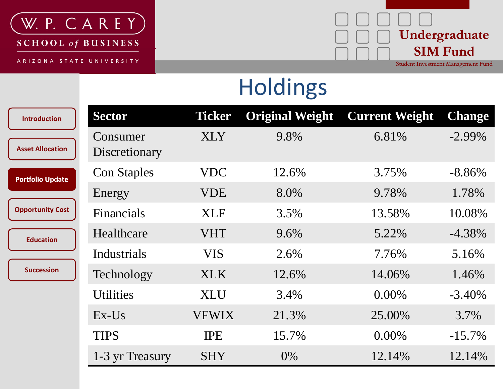

ARIZONA STATE UNIVERSITY



Holdings

| <b>Introduction</b>     | <b>Sector</b>             | <b>Ticker</b> | <b>Original Weight</b> | <b>Current Weight</b> | <b>Change</b> |
|-------------------------|---------------------------|---------------|------------------------|-----------------------|---------------|
| <b>Asset Allocation</b> | Consumer<br>Discretionary | <b>XLY</b>    | 9.8%                   | 6.81%                 | $-2.99\%$     |
| <b>Portfolio Update</b> | <b>Con Staples</b>        | <b>VDC</b>    | 12.6%                  | 3.75%                 | $-8.86\%$     |
|                         | Energy                    | <b>VDE</b>    | 8.0%                   | 9.78%                 | 1.78%         |
| <b>Opportunity Cost</b> | <b>Financials</b>         | <b>XLF</b>    | 3.5%                   | 13.58%                | 10.08%        |
| <b>Education</b>        | Healthcare                | <b>VHT</b>    | 9.6%                   | 5.22%                 | $-4.38\%$     |
|                         | Industrials               | <b>VIS</b>    | 2.6%                   | 7.76%                 | 5.16%         |
| <b>Succession</b>       | Technology                | XLK.          | 12.6%                  | 14.06%                | 1.46%         |
|                         | <b>Utilities</b>          | <b>XLU</b>    | 3.4%                   | $0.00\%$              | $-3.40\%$     |
|                         | $Ex$ -Us                  | <b>VFWIX</b>  | 21.3%                  | 25.00%                | 3.7%          |
|                         | <b>TIPS</b>               | <b>IPE</b>    | 15.7%                  | $0.00\%$              | $-15.7\%$     |
|                         | 1-3 yr Treasury           | <b>SHY</b>    | $0\%$                  | 12.14%                | 12.14%        |
|                         |                           |               |                        |                       |               |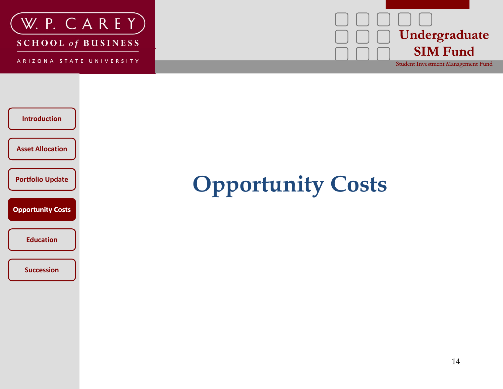

ARIZONA STATE UNIVERSITY





## **1 b b Opportunity Costs**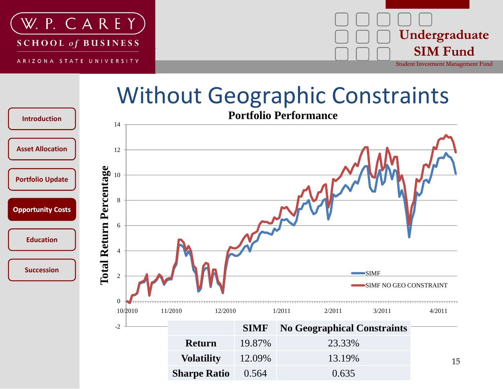



#### Without Geographic Constraints

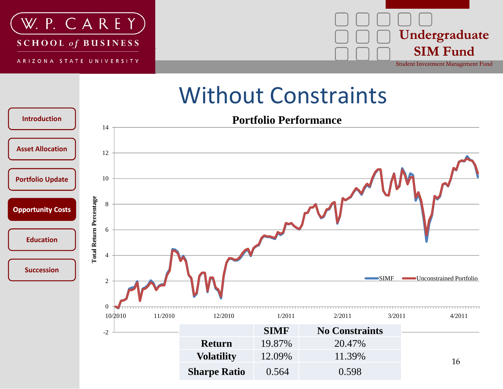



#### Without Constraints

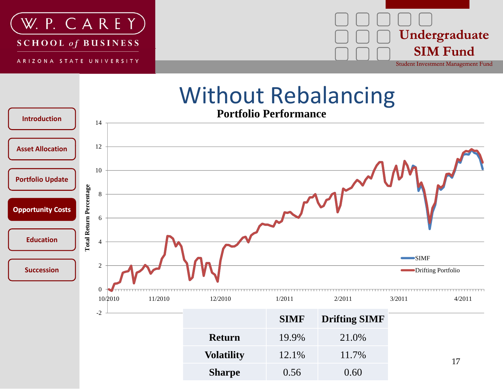



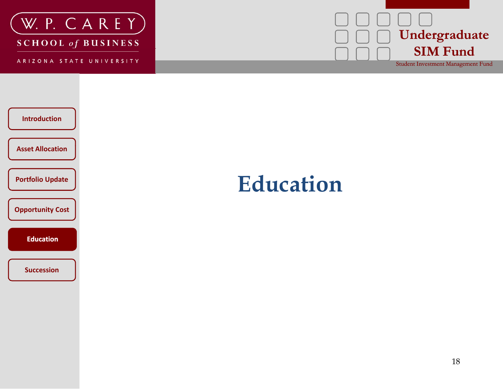

ARIZONA STATE UNIVERSITY





#### **Education**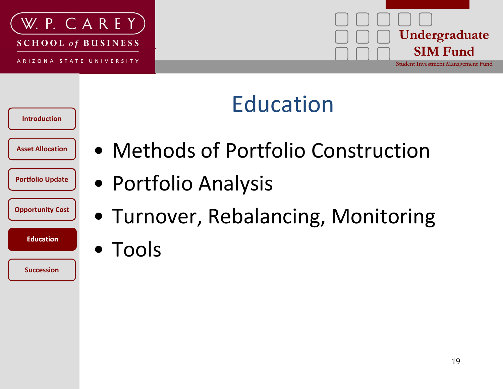



### **Education**

**Introduction**

**Portfolio Update**

**Opportunity Cost**

**Education**

- Asset Allocation | Methods of Portfolio Construction
	- Portfolio Analysis
	- Turnover, Rebalancing, Monitoring
	- Education **Following**  $\bullet$  Tools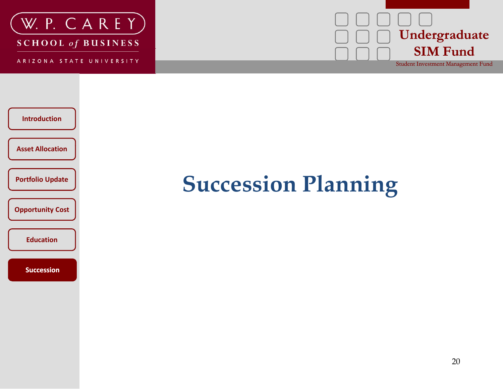

ARIZONA STATE UNIVERSITY





### **Succession Planning**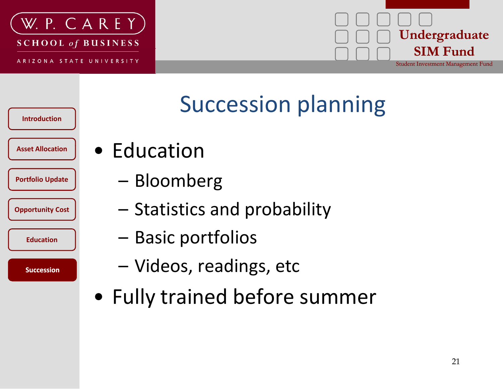





#### **Succession planning**

- Asset Allocation |  $\bullet$  **Education** 
	- –Bloomberg
	- Statistics and probability
	- –– Basic portfolios
	- Videos, readings, etc
	- Fully trained before summer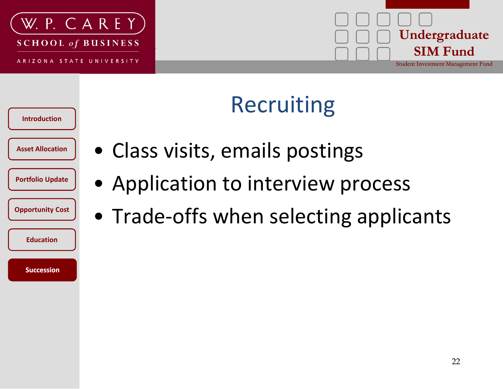



## Recruiting

**Introduction**

**Portfolio Update**

**Opportunity Cost**

**Education**

- Asset Allocation | Class visits, emails postings
	- Application to interview process
	- Trade‐offs when selecting applicants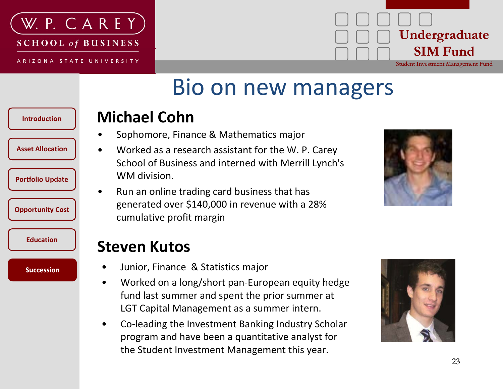



#### Bio on new managers

#### **Introduction**

**Asset Allocation**

**Portfolio Update**

**Opportunity Cost**

**Education**

**Succession** 

- **Michael Cohn**
- •Sophomore, Finance & Mathematics major
- $\bullet$  Worked as <sup>a</sup> research assistant for the W. P. Carey School of Business and interned with Merrill Lynch's WM division.
- $\bullet$ • Run an online trading card business that has generated over \$140,000 in revenue with <sup>a</sup> 28% cumulative profit margin



#### $\Box$  Steven Kutos

- $\bullet$ Junior, Finance & Statistics major
- • Worked on <sup>a</sup> long/short pan‐European equity hedge fund last summer and spent the prior summer at LGT Capital Management as <sup>a</sup> summer intern.
- • Co‐leading the Investment Banking Industry Scholar program and have been <sup>a</sup> quantitative analyst for the Student Investment Management this year.